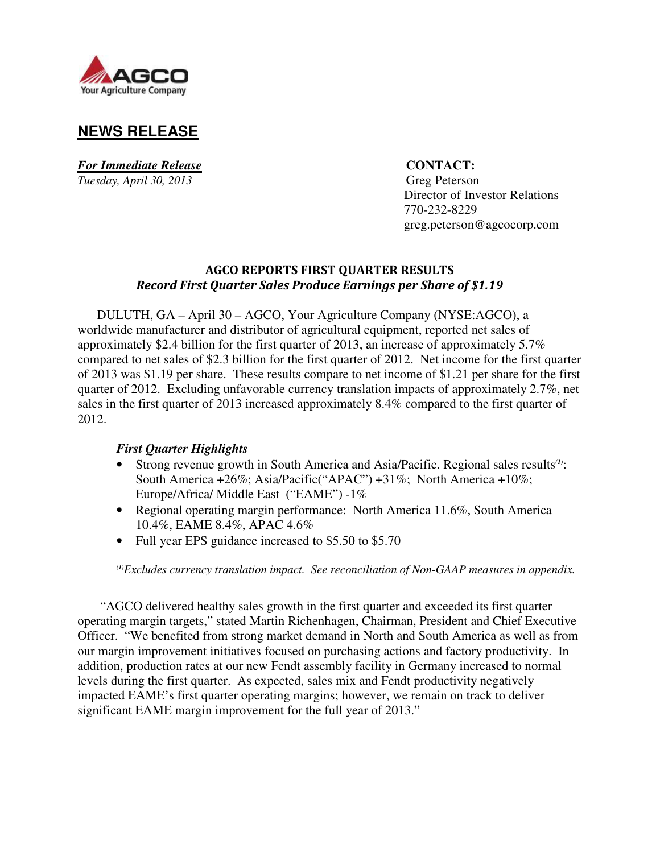

# **NEWS RELEASE**

*For Immediate Release* **CONTACT:** *Tuesday, April 30, 2013* Greg Peterson

 Director of Investor Relations 770-232-8229 greg.peterson@agcocorp.com

## AGCO REPORTS FIRST QUARTER RESULTS Record First Quarter Sales Produce Earnings per Share of \$1.19

DULUTH, GA – April 30 – AGCO, Your Agriculture Company (NYSE:AGCO), a worldwide manufacturer and distributor of agricultural equipment, reported net sales of approximately \$2.4 billion for the first quarter of 2013, an increase of approximately 5.7% compared to net sales of \$2.3 billion for the first quarter of 2012. Net income for the first quarter of 2013 was \$1.19 per share. These results compare to net income of \$1.21 per share for the first quarter of 2012. Excluding unfavorable currency translation impacts of approximately 2.7%, net sales in the first quarter of 2013 increased approximately 8.4% compared to the first quarter of 2012.

## *First Quarter Highlights*

- Strong revenue growth in South America and Asia/Pacific. Regional sales results*(1)*: South America +26%; Asia/Pacific("APAC") +31%; North America +10%; Europe/Africa/ Middle East ("EAME") -1%
- Regional operating margin performance: North America 11.6%, South America 10.4%, EAME 8.4%, APAC 4.6%
- Full year EPS guidance increased to \$5.50 to \$5.70

*(1)Excludes currency translation impact. See reconciliation of Non-GAAP measures in appendix.* 

"AGCO delivered healthy sales growth in the first quarter and exceeded its first quarter operating margin targets," stated Martin Richenhagen, Chairman, President and Chief Executive Officer. "We benefited from strong market demand in North and South America as well as from our margin improvement initiatives focused on purchasing actions and factory productivity. In addition, production rates at our new Fendt assembly facility in Germany increased to normal levels during the first quarter. As expected, sales mix and Fendt productivity negatively impacted EAME's first quarter operating margins; however, we remain on track to deliver significant EAME margin improvement for the full year of 2013."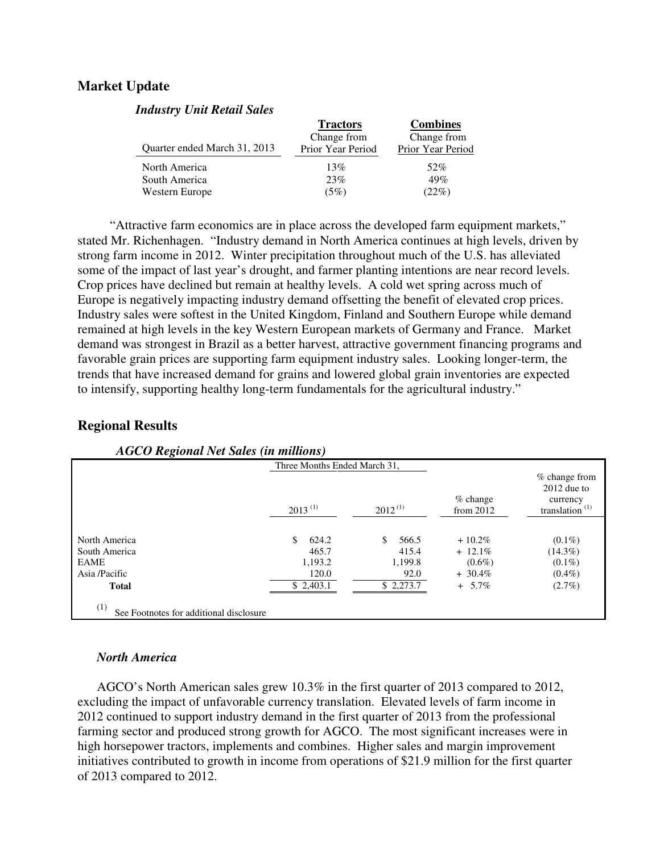## **Market Update**

| Therefore, a first receive perco- |                   |                   |
|-----------------------------------|-------------------|-------------------|
|                                   | <b>Tractors</b>   | <b>Combines</b>   |
|                                   | Change from       | Change from       |
| Quarter ended March 31, 2013      | Prior Year Period | Prior Year Period |
| North America                     | 13%               | 52%               |
| South America                     | 23%               | 49%               |
| Western Europe                    | (5%)              | (22%)             |
|                                   |                   |                   |

"Attractive farm economics are in place across the developed farm equipment markets,"

stated Mr. Richenhagen. "Industry demand in North America continues at high levels, driven by strong farm income in 2012. Winter precipitation throughout much of the U.S. has alleviated some of the impact of last year's drought, and farmer planting intentions are near record levels. Crop prices have declined but remain at healthy levels. A cold wet spring across much of Europe is negatively impacting industry demand offsetting the benefit of elevated crop prices. Industry sales were softest in the United Kingdom, Finland and Southern Europe while demand remained at high levels in the key Western European markets of Germany and France. Market demand was strongest in Brazil as a better harvest, attractive government financing programs and favorable grain prices are supporting farm equipment industry sales. Looking longer-term, the trends that have increased demand for grains and lowered global grain inventories are expected to intensify, supporting healthy long-term fundamentals for the agricultural industry."

## **Regional Results**

|               | Three Months Ended March 31, |              |                           |                                                                 |
|---------------|------------------------------|--------------|---------------------------|-----------------------------------------------------------------|
|               | $2013^{(1)}$                 | $2012^{(1)}$ | $%$ change<br>from $2012$ | % change from<br>$2012$ due to<br>currency<br>translation $(1)$ |
|               |                              |              |                           |                                                                 |
| North America | 624.2<br>\$.                 | \$.<br>566.5 | $+10.2\%$                 | $(0.1\%)$                                                       |
| South America | 465.7                        | 415.4        | $+ 12.1\%$                | $(14.3\%)$                                                      |
| <b>EAME</b>   | 1,193.2                      | 1,199.8      | $(0.6\%)$                 | $(0.1\%)$                                                       |
| Asia /Pacific | 120.0                        | 92.0         | $+30.4\%$                 | $(0.4\%)$                                                       |
| <b>Total</b>  | \$2,403.1                    | \$2,273.7    | $+ 5.7\%$                 | $(2.7\%)$                                                       |

 *AGCO Regional Net Sales (in millions)*

*Industry Unit Retail Sales* 

## *North America*

AGCO's North American sales grew 10.3% in the first quarter of 2013 compared to 2012, excluding the impact of unfavorable currency translation. Elevated levels of farm income in 2012 continued to support industry demand in the first quarter of 2013 from the professional farming sector and produced strong growth for AGCO. The most significant increases were in high horsepower tractors, implements and combines. Higher sales and margin improvement initiatives contributed to growth in income from operations of \$21.9 million for the first quarter of 2013 compared to 2012.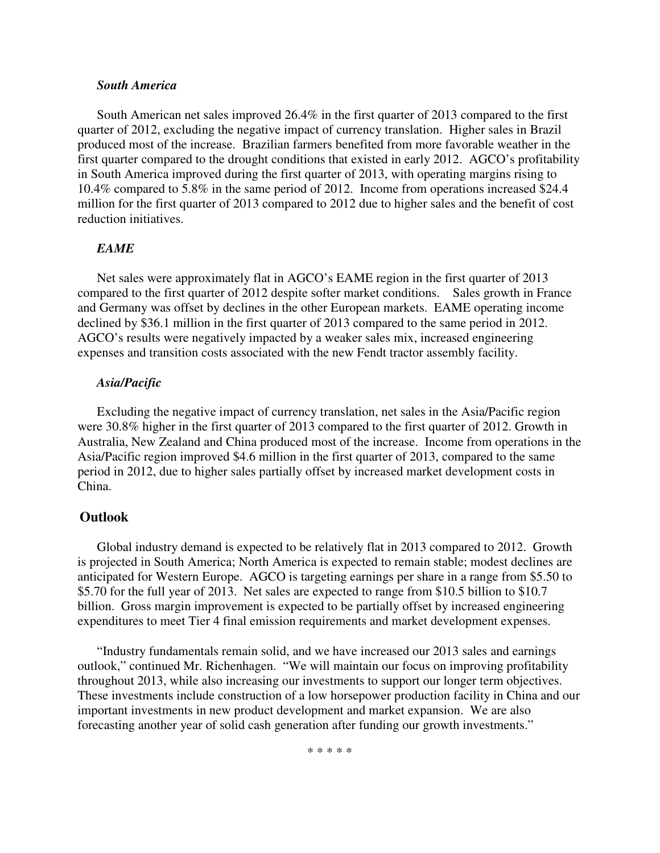#### *South America*

South American net sales improved 26.4% in the first quarter of 2013 compared to the first quarter of 2012, excluding the negative impact of currency translation. Higher sales in Brazil produced most of the increase. Brazilian farmers benefited from more favorable weather in the first quarter compared to the drought conditions that existed in early 2012. AGCO's profitability in South America improved during the first quarter of 2013, with operating margins rising to 10.4% compared to 5.8% in the same period of 2012. Income from operations increased \$24.4 million for the first quarter of 2013 compared to 2012 due to higher sales and the benefit of cost reduction initiatives.

#### *EAME*

Net sales were approximately flat in AGCO's EAME region in the first quarter of 2013 compared to the first quarter of 2012 despite softer market conditions. Sales growth in France and Germany was offset by declines in the other European markets. EAME operating income declined by \$36.1 million in the first quarter of 2013 compared to the same period in 2012. AGCO's results were negatively impacted by a weaker sales mix, increased engineering expenses and transition costs associated with the new Fendt tractor assembly facility.

#### *Asia/Pacific*

Excluding the negative impact of currency translation, net sales in the Asia/Pacific region were 30.8% higher in the first quarter of 2013 compared to the first quarter of 2012. Growth in Australia, New Zealand and China produced most of the increase. Income from operations in the Asia/Pacific region improved \$4.6 million in the first quarter of 2013, compared to the same period in 2012, due to higher sales partially offset by increased market development costs in China.

#### **Outlook**

Global industry demand is expected to be relatively flat in 2013 compared to 2012. Growth is projected in South America; North America is expected to remain stable; modest declines are anticipated for Western Europe. AGCO is targeting earnings per share in a range from \$5.50 to \$5.70 for the full year of 2013. Net sales are expected to range from \$10.5 billion to \$10.7 billion. Gross margin improvement is expected to be partially offset by increased engineering expenditures to meet Tier 4 final emission requirements and market development expenses.

"Industry fundamentals remain solid, and we have increased our 2013 sales and earnings outlook," continued Mr. Richenhagen. "We will maintain our focus on improving profitability throughout 2013, while also increasing our investments to support our longer term objectives. These investments include construction of a low horsepower production facility in China and our important investments in new product development and market expansion. We are also forecasting another year of solid cash generation after funding our growth investments."

\* \* \* \* \*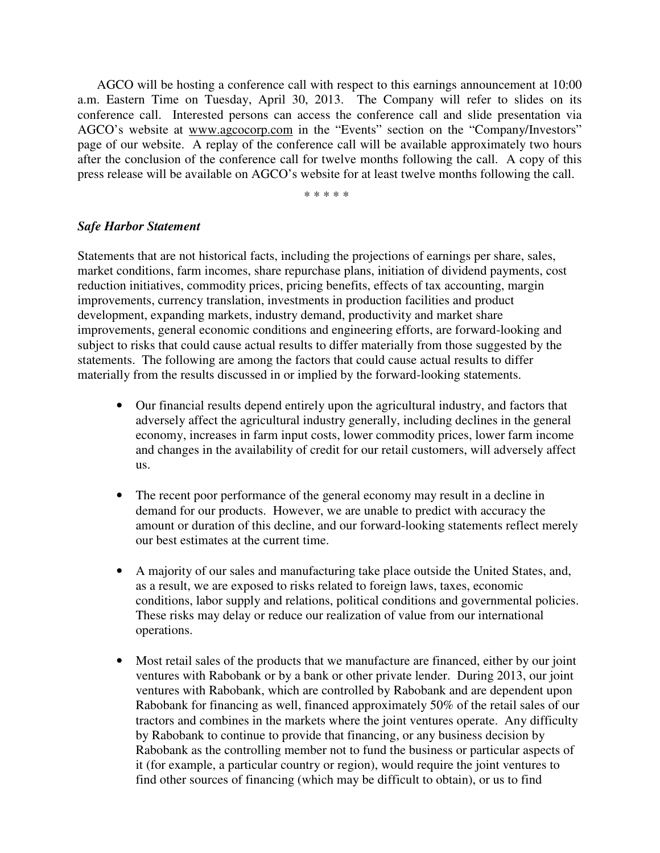AGCO will be hosting a conference call with respect to this earnings announcement at 10:00 a.m. Eastern Time on Tuesday, April 30, 2013. The Company will refer to slides on its conference call. Interested persons can access the conference call and slide presentation via AGCO's website at www.agcocorp.com in the "Events" section on the "Company/Investors" page of our website. A replay of the conference call will be available approximately two hours after the conclusion of the conference call for twelve months following the call. A copy of this press release will be available on AGCO's website for at least twelve months following the call.

\* \* \* \* \*

## *Safe Harbor Statement*

Statements that are not historical facts, including the projections of earnings per share, sales, market conditions, farm incomes, share repurchase plans, initiation of dividend payments, cost reduction initiatives, commodity prices, pricing benefits, effects of tax accounting, margin improvements, currency translation, investments in production facilities and product development, expanding markets, industry demand, productivity and market share improvements, general economic conditions and engineering efforts, are forward-looking and subject to risks that could cause actual results to differ materially from those suggested by the statements. The following are among the factors that could cause actual results to differ materially from the results discussed in or implied by the forward-looking statements.

- Our financial results depend entirely upon the agricultural industry, and factors that adversely affect the agricultural industry generally, including declines in the general economy, increases in farm input costs, lower commodity prices, lower farm income and changes in the availability of credit for our retail customers, will adversely affect us.
- The recent poor performance of the general economy may result in a decline in demand for our products. However, we are unable to predict with accuracy the amount or duration of this decline, and our forward-looking statements reflect merely our best estimates at the current time.
- A majority of our sales and manufacturing take place outside the United States, and, as a result, we are exposed to risks related to foreign laws, taxes, economic conditions, labor supply and relations, political conditions and governmental policies. These risks may delay or reduce our realization of value from our international operations.
- Most retail sales of the products that we manufacture are financed, either by our joint ventures with Rabobank or by a bank or other private lender. During 2013, our joint ventures with Rabobank, which are controlled by Rabobank and are dependent upon Rabobank for financing as well, financed approximately 50% of the retail sales of our tractors and combines in the markets where the joint ventures operate. Any difficulty by Rabobank to continue to provide that financing, or any business decision by Rabobank as the controlling member not to fund the business or particular aspects of it (for example, a particular country or region), would require the joint ventures to find other sources of financing (which may be difficult to obtain), or us to find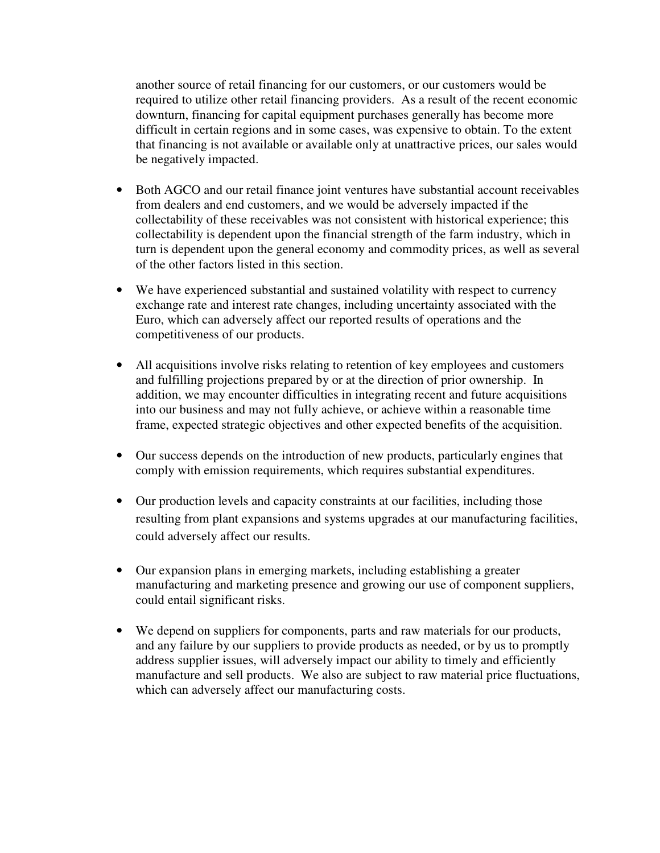another source of retail financing for our customers, or our customers would be required to utilize other retail financing providers. As a result of the recent economic downturn, financing for capital equipment purchases generally has become more difficult in certain regions and in some cases, was expensive to obtain. To the extent that financing is not available or available only at unattractive prices, our sales would be negatively impacted.

- Both AGCO and our retail finance joint ventures have substantial account receivables from dealers and end customers, and we would be adversely impacted if the collectability of these receivables was not consistent with historical experience; this collectability is dependent upon the financial strength of the farm industry, which in turn is dependent upon the general economy and commodity prices, as well as several of the other factors listed in this section.
- We have experienced substantial and sustained volatility with respect to currency exchange rate and interest rate changes, including uncertainty associated with the Euro, which can adversely affect our reported results of operations and the competitiveness of our products.
- All acquisitions involve risks relating to retention of key employees and customers and fulfilling projections prepared by or at the direction of prior ownership. In addition, we may encounter difficulties in integrating recent and future acquisitions into our business and may not fully achieve, or achieve within a reasonable time frame, expected strategic objectives and other expected benefits of the acquisition.
- Our success depends on the introduction of new products, particularly engines that comply with emission requirements, which requires substantial expenditures.
- Our production levels and capacity constraints at our facilities, including those resulting from plant expansions and systems upgrades at our manufacturing facilities, could adversely affect our results.
- Our expansion plans in emerging markets, including establishing a greater manufacturing and marketing presence and growing our use of component suppliers, could entail significant risks.
- We depend on suppliers for components, parts and raw materials for our products, and any failure by our suppliers to provide products as needed, or by us to promptly address supplier issues, will adversely impact our ability to timely and efficiently manufacture and sell products. We also are subject to raw material price fluctuations, which can adversely affect our manufacturing costs.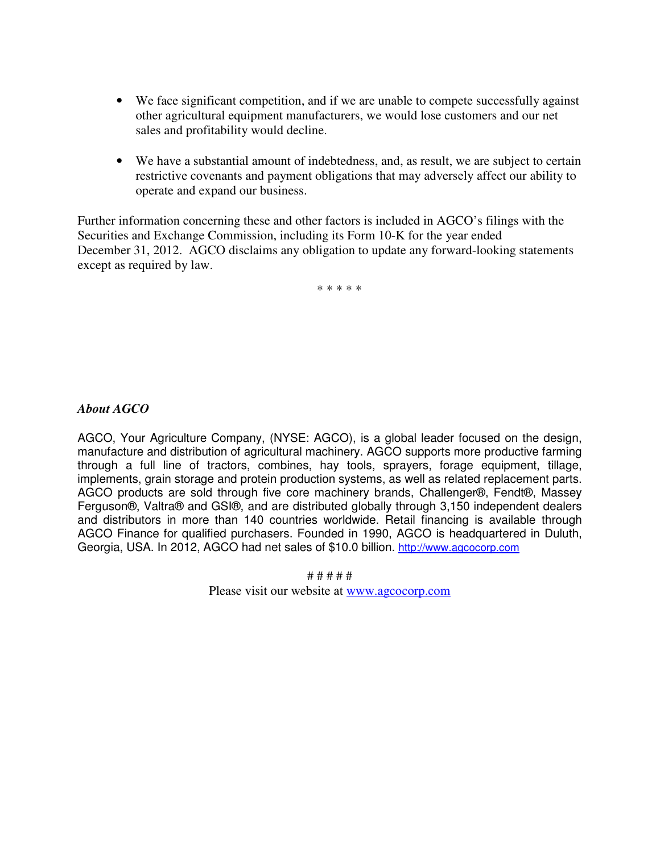- We face significant competition, and if we are unable to compete successfully against other agricultural equipment manufacturers, we would lose customers and our net sales and profitability would decline.
- We have a substantial amount of indebtedness, and, as result, we are subject to certain restrictive covenants and payment obligations that may adversely affect our ability to operate and expand our business.

Further information concerning these and other factors is included in AGCO's filings with the Securities and Exchange Commission, including its Form 10-K for the year ended December 31, 2012. AGCO disclaims any obligation to update any forward-looking statements except as required by law.

\* \* \* \* \*

## *About AGCO*

AGCO, Your Agriculture Company, (NYSE: AGCO), is a global leader focused on the design, manufacture and distribution of agricultural machinery. AGCO supports more productive farming through a full line of tractors, combines, hay tools, sprayers, forage equipment, tillage, implements, grain storage and protein production systems, as well as related replacement parts. AGCO products are sold through five core machinery brands, Challenger®, Fendt®, Massey Ferguson®, Valtra® and GSI®, and are distributed globally through 3,150 independent dealers and distributors in more than 140 countries worldwide. Retail financing is available through AGCO Finance for qualified purchasers. Founded in 1990, AGCO is headquartered in Duluth, Georgia, USA. In 2012, AGCO had net sales of \$10.0 billion. http://www.agcocorp.com

# # # # #

Please visit our website at www.agcocorp.com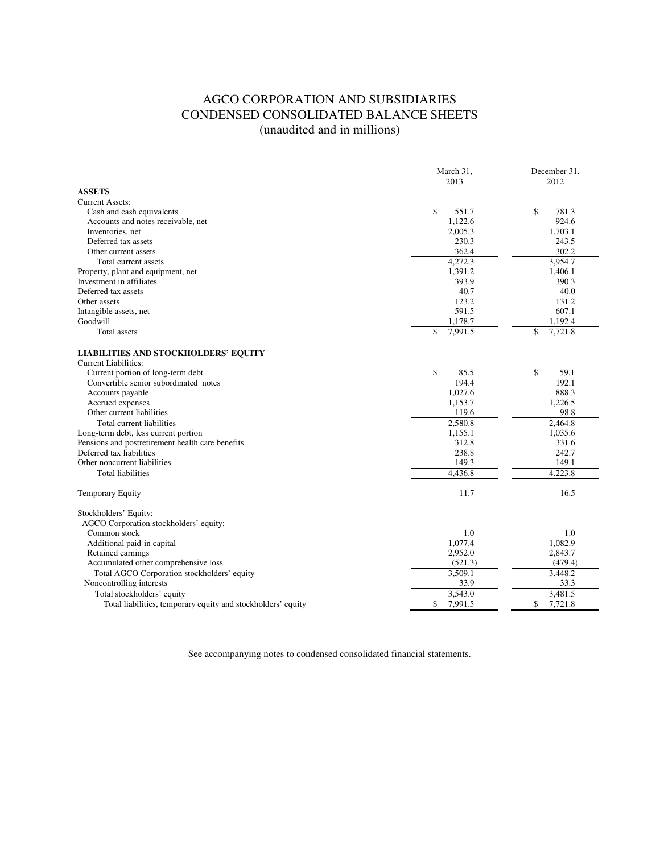## AGCO CORPORATION AND SUBSIDIARIES CONDENSED CONSOLIDATED BALANCE SHEETS (unaudited and in millions)

|                                                                            | March 31,<br>2013 | December 31,<br>2012 |  |
|----------------------------------------------------------------------------|-------------------|----------------------|--|
| <b>ASSETS</b>                                                              |                   |                      |  |
| <b>Current Assets:</b>                                                     |                   |                      |  |
| Cash and cash equivalents                                                  | \$<br>551.7       | \$<br>781.3          |  |
| Accounts and notes receivable, net                                         | 1,122.6           | 924.6                |  |
| Inventories, net                                                           | 2,005.3           | 1,703.1              |  |
| Deferred tax assets                                                        | 230.3             | 243.5                |  |
| Other current assets                                                       | 362.4             | 302.2                |  |
| Total current assets                                                       | 4,272.3           | 3.954.7              |  |
| Property, plant and equipment, net                                         | 1,391.2           | 1,406.1              |  |
| Investment in affiliates                                                   | 393.9             | 390.3                |  |
| Deferred tax assets                                                        | 40.7              | 40.0                 |  |
| Other assets                                                               | 123.2             | 131.2                |  |
| Intangible assets, net                                                     | 591.5             | 607.1                |  |
| Goodwill                                                                   | 1,178.7           | 1,192.4              |  |
| Total assets                                                               | \$<br>7,991.5     | \$<br>7,721.8        |  |
| <b>LIABILITIES AND STOCKHOLDERS' EQUITY</b><br><b>Current Liabilities:</b> |                   |                      |  |
| Current portion of long-term debt                                          | \$<br>85.5        | \$<br>59.1           |  |
| Convertible senior subordinated notes                                      | 194.4             | 192.1                |  |
| Accounts payable                                                           | 1,027.6           | 888.3                |  |
| Accrued expenses                                                           | 1,153.7           | 1,226.5              |  |
| Other current liabilities                                                  | 119.6             | 98.8                 |  |
| Total current liabilities                                                  | 2,580.8           | 2,464.8              |  |
| Long-term debt, less current portion                                       | 1,155.1           | 1,035.6              |  |
| Pensions and postretirement health care benefits                           | 312.8             | 331.6                |  |
| Deferred tax liabilities                                                   | 238.8             | 242.7                |  |
| Other noncurrent liabilities                                               | 149.3             | 149.1                |  |
| <b>Total liabilities</b>                                                   | 4.436.8           | 4,223.8              |  |
| <b>Temporary Equity</b>                                                    | 11.7              | 16.5                 |  |
| Stockholders' Equity:                                                      |                   |                      |  |
| AGCO Corporation stockholders' equity:                                     |                   |                      |  |
| Common stock                                                               | 1.0               | 1.0                  |  |
| Additional paid-in capital                                                 | 1,077.4           | 1,082.9              |  |
| Retained earnings                                                          | 2,952.0           | 2,843.7              |  |
| Accumulated other comprehensive loss                                       | (521.3)           | (479.4)              |  |
| Total AGCO Corporation stockholders' equity                                | 3,509.1           | 3,448.2              |  |
| Noncontrolling interests                                                   | 33.9              | 33.3                 |  |
| Total stockholders' equity                                                 | 3,543.0           | 3.481.5              |  |
| Total liabilities, temporary equity and stockholders' equity               | \$<br>7,991.5     | \$<br>7,721.8        |  |

See accompanying notes to condensed consolidated financial statements.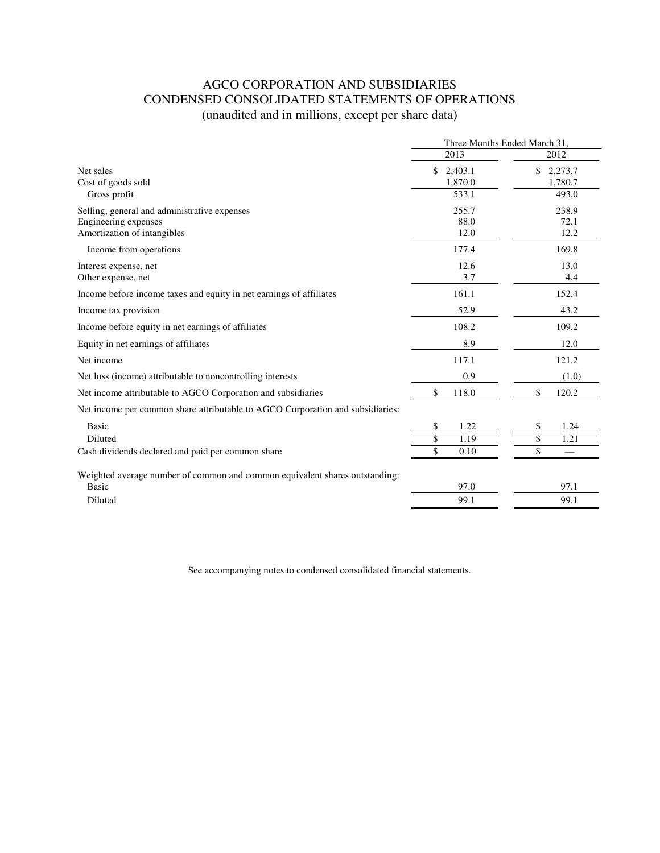## AGCO CORPORATION AND SUBSIDIARIES CONDENSED CONSOLIDATED STATEMENTS OF OPERATIONS (unaudited and in millions, except per share data)

|                                                                                |                          | Three Months Ended March 31, |
|--------------------------------------------------------------------------------|--------------------------|------------------------------|
|                                                                                | 2013                     | 2012                         |
| Net sales<br>Cost of goods sold                                                | \$<br>2,403.1<br>1,870.0 | \$<br>2,273.7<br>1,780.7     |
| Gross profit                                                                   | 533.1                    | 493.0                        |
| Selling, general and administrative expenses                                   | 255.7                    | 238.9                        |
| Engineering expenses                                                           | 88.0                     | 72.1                         |
| Amortization of intangibles                                                    | 12.0                     | 12.2                         |
| Income from operations                                                         | 177.4                    | 169.8                        |
| Interest expense, net                                                          | 12.6                     | 13.0                         |
| Other expense, net                                                             | 3.7                      | 4.4                          |
| Income before income taxes and equity in net earnings of affiliates            | 161.1                    | 152.4                        |
| Income tax provision                                                           | 52.9                     | 43.2                         |
| Income before equity in net earnings of affiliates                             | 108.2                    | 109.2                        |
| Equity in net earnings of affiliates                                           | 8.9                      | 12.0                         |
| Net income                                                                     | 117.1                    | 121.2                        |
| Net loss (income) attributable to noncontrolling interests                     | 0.9                      | (1.0)                        |
| Net income attributable to AGCO Corporation and subsidiaries                   | \$<br>118.0              | \$<br>120.2                  |
| Net income per common share attributable to AGCO Corporation and subsidiaries: |                          |                              |
| <b>Basic</b>                                                                   | \$<br>1.22               | \$<br>1.24                   |
| Diluted                                                                        | \$<br>1.19               | \$<br>1.21                   |
| Cash dividends declared and paid per common share                              | \$<br>0.10               | \$                           |
| Weighted average number of common and common equivalent shares outstanding:    |                          |                              |
| <b>Basic</b>                                                                   | 97.0                     | 97.1                         |
| Diluted                                                                        | 99.1                     | 99.1                         |

See accompanying notes to condensed consolidated financial statements.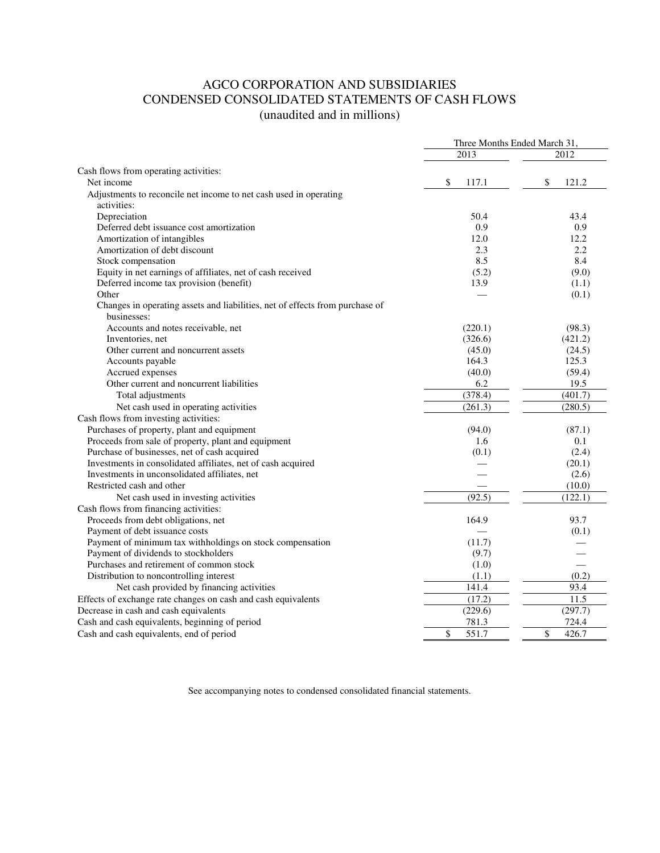## AGCO CORPORATION AND SUBSIDIARIES CONDENSED CONSOLIDATED STATEMENTS OF CASH FLOWS (unaudited and in millions)

| 2013<br>2012<br>Cash flows from operating activities:<br>\$<br>\$<br>117.1<br>121.2<br>Net income<br>Adjustments to reconcile net income to net cash used in operating<br>activities:<br>Depreciation<br>50.4<br>43.4<br>Deferred debt issuance cost amortization<br>0.9<br>0.9<br>Amortization of intangibles<br>12.0<br>12.2<br>Amortization of debt discount<br>2.3<br>2.2<br>8.5<br>Stock compensation<br>8.4<br>Equity in net earnings of affiliates, net of cash received<br>(5.2)<br>(9.0)<br>Deferred income tax provision (benefit)<br>13.9<br>(1.1)<br>Other<br>(0.1)<br>Changes in operating assets and liabilities, net of effects from purchase of<br>businesses:<br>Accounts and notes receivable, net<br>(220.1)<br>(98.3)<br>Inventories, net<br>(326.6)<br>(421.2)<br>Other current and noncurrent assets<br>(45.0)<br>(24.5)<br>Accounts payable<br>164.3<br>125.3<br>(40.0)<br>(59.4)<br>Accrued expenses<br>Other current and noncurrent liabilities<br>6.2<br>19.5<br>(378.4)<br>(401.7)<br>Total adjustments<br>Net cash used in operating activities<br>(261.3)<br>(280.5)<br>Cash flows from investing activities:<br>Purchases of property, plant and equipment<br>(94.0)<br>(87.1)<br>Proceeds from sale of property, plant and equipment<br>0.1<br>1.6<br>Purchase of businesses, net of cash acquired<br>(2.4)<br>(0.1)<br>Investments in consolidated affiliates, net of cash acquired<br>(20.1)<br>Investments in unconsolidated affiliates, net<br>(2.6)<br>Restricted cash and other<br>(10.0)<br>(122.1)<br>(92.5)<br>Net cash used in investing activities<br>Cash flows from financing activities:<br>Proceeds from debt obligations, net<br>164.9<br>93.7<br>Payment of debt issuance costs<br>(0.1)<br>Payment of minimum tax withholdings on stock compensation<br>(11.7)<br>Payment of dividends to stockholders<br>(9.7)<br>Purchases and retirement of common stock<br>(1.0)<br>Distribution to noncontrolling interest<br>(0.2)<br>(1.1)<br>141.4<br>93.4<br>Net cash provided by financing activities<br>(17.2)<br>11.5<br>Effects of exchange rate changes on cash and cash equivalents<br>Decrease in cash and cash equivalents<br>(229.6)<br>(297.7)<br>Cash and cash equivalents, beginning of period<br>781.3<br>724.4 |                                          | Three Months Ended March 31, |             |
|------------------------------------------------------------------------------------------------------------------------------------------------------------------------------------------------------------------------------------------------------------------------------------------------------------------------------------------------------------------------------------------------------------------------------------------------------------------------------------------------------------------------------------------------------------------------------------------------------------------------------------------------------------------------------------------------------------------------------------------------------------------------------------------------------------------------------------------------------------------------------------------------------------------------------------------------------------------------------------------------------------------------------------------------------------------------------------------------------------------------------------------------------------------------------------------------------------------------------------------------------------------------------------------------------------------------------------------------------------------------------------------------------------------------------------------------------------------------------------------------------------------------------------------------------------------------------------------------------------------------------------------------------------------------------------------------------------------------------------------------------------------------------------------------------------------------------------------------------------------------------------------------------------------------------------------------------------------------------------------------------------------------------------------------------------------------------------------------------------------------------------------------------------------------------------------------------------------------------------------------------------------------|------------------------------------------|------------------------------|-------------|
|                                                                                                                                                                                                                                                                                                                                                                                                                                                                                                                                                                                                                                                                                                                                                                                                                                                                                                                                                                                                                                                                                                                                                                                                                                                                                                                                                                                                                                                                                                                                                                                                                                                                                                                                                                                                                                                                                                                                                                                                                                                                                                                                                                                                                                                                        |                                          |                              |             |
|                                                                                                                                                                                                                                                                                                                                                                                                                                                                                                                                                                                                                                                                                                                                                                                                                                                                                                                                                                                                                                                                                                                                                                                                                                                                                                                                                                                                                                                                                                                                                                                                                                                                                                                                                                                                                                                                                                                                                                                                                                                                                                                                                                                                                                                                        |                                          |                              |             |
|                                                                                                                                                                                                                                                                                                                                                                                                                                                                                                                                                                                                                                                                                                                                                                                                                                                                                                                                                                                                                                                                                                                                                                                                                                                                                                                                                                                                                                                                                                                                                                                                                                                                                                                                                                                                                                                                                                                                                                                                                                                                                                                                                                                                                                                                        |                                          |                              |             |
|                                                                                                                                                                                                                                                                                                                                                                                                                                                                                                                                                                                                                                                                                                                                                                                                                                                                                                                                                                                                                                                                                                                                                                                                                                                                                                                                                                                                                                                                                                                                                                                                                                                                                                                                                                                                                                                                                                                                                                                                                                                                                                                                                                                                                                                                        |                                          |                              |             |
|                                                                                                                                                                                                                                                                                                                                                                                                                                                                                                                                                                                                                                                                                                                                                                                                                                                                                                                                                                                                                                                                                                                                                                                                                                                                                                                                                                                                                                                                                                                                                                                                                                                                                                                                                                                                                                                                                                                                                                                                                                                                                                                                                                                                                                                                        |                                          |                              |             |
|                                                                                                                                                                                                                                                                                                                                                                                                                                                                                                                                                                                                                                                                                                                                                                                                                                                                                                                                                                                                                                                                                                                                                                                                                                                                                                                                                                                                                                                                                                                                                                                                                                                                                                                                                                                                                                                                                                                                                                                                                                                                                                                                                                                                                                                                        |                                          |                              |             |
|                                                                                                                                                                                                                                                                                                                                                                                                                                                                                                                                                                                                                                                                                                                                                                                                                                                                                                                                                                                                                                                                                                                                                                                                                                                                                                                                                                                                                                                                                                                                                                                                                                                                                                                                                                                                                                                                                                                                                                                                                                                                                                                                                                                                                                                                        |                                          |                              |             |
|                                                                                                                                                                                                                                                                                                                                                                                                                                                                                                                                                                                                                                                                                                                                                                                                                                                                                                                                                                                                                                                                                                                                                                                                                                                                                                                                                                                                                                                                                                                                                                                                                                                                                                                                                                                                                                                                                                                                                                                                                                                                                                                                                                                                                                                                        |                                          |                              |             |
|                                                                                                                                                                                                                                                                                                                                                                                                                                                                                                                                                                                                                                                                                                                                                                                                                                                                                                                                                                                                                                                                                                                                                                                                                                                                                                                                                                                                                                                                                                                                                                                                                                                                                                                                                                                                                                                                                                                                                                                                                                                                                                                                                                                                                                                                        |                                          |                              |             |
|                                                                                                                                                                                                                                                                                                                                                                                                                                                                                                                                                                                                                                                                                                                                                                                                                                                                                                                                                                                                                                                                                                                                                                                                                                                                                                                                                                                                                                                                                                                                                                                                                                                                                                                                                                                                                                                                                                                                                                                                                                                                                                                                                                                                                                                                        |                                          |                              |             |
|                                                                                                                                                                                                                                                                                                                                                                                                                                                                                                                                                                                                                                                                                                                                                                                                                                                                                                                                                                                                                                                                                                                                                                                                                                                                                                                                                                                                                                                                                                                                                                                                                                                                                                                                                                                                                                                                                                                                                                                                                                                                                                                                                                                                                                                                        |                                          |                              |             |
|                                                                                                                                                                                                                                                                                                                                                                                                                                                                                                                                                                                                                                                                                                                                                                                                                                                                                                                                                                                                                                                                                                                                                                                                                                                                                                                                                                                                                                                                                                                                                                                                                                                                                                                                                                                                                                                                                                                                                                                                                                                                                                                                                                                                                                                                        |                                          |                              |             |
|                                                                                                                                                                                                                                                                                                                                                                                                                                                                                                                                                                                                                                                                                                                                                                                                                                                                                                                                                                                                                                                                                                                                                                                                                                                                                                                                                                                                                                                                                                                                                                                                                                                                                                                                                                                                                                                                                                                                                                                                                                                                                                                                                                                                                                                                        |                                          |                              |             |
|                                                                                                                                                                                                                                                                                                                                                                                                                                                                                                                                                                                                                                                                                                                                                                                                                                                                                                                                                                                                                                                                                                                                                                                                                                                                                                                                                                                                                                                                                                                                                                                                                                                                                                                                                                                                                                                                                                                                                                                                                                                                                                                                                                                                                                                                        |                                          |                              |             |
|                                                                                                                                                                                                                                                                                                                                                                                                                                                                                                                                                                                                                                                                                                                                                                                                                                                                                                                                                                                                                                                                                                                                                                                                                                                                                                                                                                                                                                                                                                                                                                                                                                                                                                                                                                                                                                                                                                                                                                                                                                                                                                                                                                                                                                                                        |                                          |                              |             |
|                                                                                                                                                                                                                                                                                                                                                                                                                                                                                                                                                                                                                                                                                                                                                                                                                                                                                                                                                                                                                                                                                                                                                                                                                                                                                                                                                                                                                                                                                                                                                                                                                                                                                                                                                                                                                                                                                                                                                                                                                                                                                                                                                                                                                                                                        |                                          |                              |             |
|                                                                                                                                                                                                                                                                                                                                                                                                                                                                                                                                                                                                                                                                                                                                                                                                                                                                                                                                                                                                                                                                                                                                                                                                                                                                                                                                                                                                                                                                                                                                                                                                                                                                                                                                                                                                                                                                                                                                                                                                                                                                                                                                                                                                                                                                        |                                          |                              |             |
|                                                                                                                                                                                                                                                                                                                                                                                                                                                                                                                                                                                                                                                                                                                                                                                                                                                                                                                                                                                                                                                                                                                                                                                                                                                                                                                                                                                                                                                                                                                                                                                                                                                                                                                                                                                                                                                                                                                                                                                                                                                                                                                                                                                                                                                                        |                                          |                              |             |
|                                                                                                                                                                                                                                                                                                                                                                                                                                                                                                                                                                                                                                                                                                                                                                                                                                                                                                                                                                                                                                                                                                                                                                                                                                                                                                                                                                                                                                                                                                                                                                                                                                                                                                                                                                                                                                                                                                                                                                                                                                                                                                                                                                                                                                                                        |                                          |                              |             |
|                                                                                                                                                                                                                                                                                                                                                                                                                                                                                                                                                                                                                                                                                                                                                                                                                                                                                                                                                                                                                                                                                                                                                                                                                                                                                                                                                                                                                                                                                                                                                                                                                                                                                                                                                                                                                                                                                                                                                                                                                                                                                                                                                                                                                                                                        |                                          |                              |             |
|                                                                                                                                                                                                                                                                                                                                                                                                                                                                                                                                                                                                                                                                                                                                                                                                                                                                                                                                                                                                                                                                                                                                                                                                                                                                                                                                                                                                                                                                                                                                                                                                                                                                                                                                                                                                                                                                                                                                                                                                                                                                                                                                                                                                                                                                        |                                          |                              |             |
|                                                                                                                                                                                                                                                                                                                                                                                                                                                                                                                                                                                                                                                                                                                                                                                                                                                                                                                                                                                                                                                                                                                                                                                                                                                                                                                                                                                                                                                                                                                                                                                                                                                                                                                                                                                                                                                                                                                                                                                                                                                                                                                                                                                                                                                                        |                                          |                              |             |
|                                                                                                                                                                                                                                                                                                                                                                                                                                                                                                                                                                                                                                                                                                                                                                                                                                                                                                                                                                                                                                                                                                                                                                                                                                                                                                                                                                                                                                                                                                                                                                                                                                                                                                                                                                                                                                                                                                                                                                                                                                                                                                                                                                                                                                                                        |                                          |                              |             |
|                                                                                                                                                                                                                                                                                                                                                                                                                                                                                                                                                                                                                                                                                                                                                                                                                                                                                                                                                                                                                                                                                                                                                                                                                                                                                                                                                                                                                                                                                                                                                                                                                                                                                                                                                                                                                                                                                                                                                                                                                                                                                                                                                                                                                                                                        |                                          |                              |             |
|                                                                                                                                                                                                                                                                                                                                                                                                                                                                                                                                                                                                                                                                                                                                                                                                                                                                                                                                                                                                                                                                                                                                                                                                                                                                                                                                                                                                                                                                                                                                                                                                                                                                                                                                                                                                                                                                                                                                                                                                                                                                                                                                                                                                                                                                        |                                          |                              |             |
|                                                                                                                                                                                                                                                                                                                                                                                                                                                                                                                                                                                                                                                                                                                                                                                                                                                                                                                                                                                                                                                                                                                                                                                                                                                                                                                                                                                                                                                                                                                                                                                                                                                                                                                                                                                                                                                                                                                                                                                                                                                                                                                                                                                                                                                                        |                                          |                              |             |
|                                                                                                                                                                                                                                                                                                                                                                                                                                                                                                                                                                                                                                                                                                                                                                                                                                                                                                                                                                                                                                                                                                                                                                                                                                                                                                                                                                                                                                                                                                                                                                                                                                                                                                                                                                                                                                                                                                                                                                                                                                                                                                                                                                                                                                                                        |                                          |                              |             |
|                                                                                                                                                                                                                                                                                                                                                                                                                                                                                                                                                                                                                                                                                                                                                                                                                                                                                                                                                                                                                                                                                                                                                                                                                                                                                                                                                                                                                                                                                                                                                                                                                                                                                                                                                                                                                                                                                                                                                                                                                                                                                                                                                                                                                                                                        |                                          |                              |             |
|                                                                                                                                                                                                                                                                                                                                                                                                                                                                                                                                                                                                                                                                                                                                                                                                                                                                                                                                                                                                                                                                                                                                                                                                                                                                                                                                                                                                                                                                                                                                                                                                                                                                                                                                                                                                                                                                                                                                                                                                                                                                                                                                                                                                                                                                        |                                          |                              |             |
|                                                                                                                                                                                                                                                                                                                                                                                                                                                                                                                                                                                                                                                                                                                                                                                                                                                                                                                                                                                                                                                                                                                                                                                                                                                                                                                                                                                                                                                                                                                                                                                                                                                                                                                                                                                                                                                                                                                                                                                                                                                                                                                                                                                                                                                                        |                                          |                              |             |
|                                                                                                                                                                                                                                                                                                                                                                                                                                                                                                                                                                                                                                                                                                                                                                                                                                                                                                                                                                                                                                                                                                                                                                                                                                                                                                                                                                                                                                                                                                                                                                                                                                                                                                                                                                                                                                                                                                                                                                                                                                                                                                                                                                                                                                                                        |                                          |                              |             |
|                                                                                                                                                                                                                                                                                                                                                                                                                                                                                                                                                                                                                                                                                                                                                                                                                                                                                                                                                                                                                                                                                                                                                                                                                                                                                                                                                                                                                                                                                                                                                                                                                                                                                                                                                                                                                                                                                                                                                                                                                                                                                                                                                                                                                                                                        |                                          |                              |             |
|                                                                                                                                                                                                                                                                                                                                                                                                                                                                                                                                                                                                                                                                                                                                                                                                                                                                                                                                                                                                                                                                                                                                                                                                                                                                                                                                                                                                                                                                                                                                                                                                                                                                                                                                                                                                                                                                                                                                                                                                                                                                                                                                                                                                                                                                        |                                          |                              |             |
|                                                                                                                                                                                                                                                                                                                                                                                                                                                                                                                                                                                                                                                                                                                                                                                                                                                                                                                                                                                                                                                                                                                                                                                                                                                                                                                                                                                                                                                                                                                                                                                                                                                                                                                                                                                                                                                                                                                                                                                                                                                                                                                                                                                                                                                                        |                                          |                              |             |
|                                                                                                                                                                                                                                                                                                                                                                                                                                                                                                                                                                                                                                                                                                                                                                                                                                                                                                                                                                                                                                                                                                                                                                                                                                                                                                                                                                                                                                                                                                                                                                                                                                                                                                                                                                                                                                                                                                                                                                                                                                                                                                                                                                                                                                                                        |                                          |                              |             |
|                                                                                                                                                                                                                                                                                                                                                                                                                                                                                                                                                                                                                                                                                                                                                                                                                                                                                                                                                                                                                                                                                                                                                                                                                                                                                                                                                                                                                                                                                                                                                                                                                                                                                                                                                                                                                                                                                                                                                                                                                                                                                                                                                                                                                                                                        |                                          |                              |             |
|                                                                                                                                                                                                                                                                                                                                                                                                                                                                                                                                                                                                                                                                                                                                                                                                                                                                                                                                                                                                                                                                                                                                                                                                                                                                                                                                                                                                                                                                                                                                                                                                                                                                                                                                                                                                                                                                                                                                                                                                                                                                                                                                                                                                                                                                        |                                          |                              |             |
|                                                                                                                                                                                                                                                                                                                                                                                                                                                                                                                                                                                                                                                                                                                                                                                                                                                                                                                                                                                                                                                                                                                                                                                                                                                                                                                                                                                                                                                                                                                                                                                                                                                                                                                                                                                                                                                                                                                                                                                                                                                                                                                                                                                                                                                                        |                                          |                              |             |
|                                                                                                                                                                                                                                                                                                                                                                                                                                                                                                                                                                                                                                                                                                                                                                                                                                                                                                                                                                                                                                                                                                                                                                                                                                                                                                                                                                                                                                                                                                                                                                                                                                                                                                                                                                                                                                                                                                                                                                                                                                                                                                                                                                                                                                                                        |                                          |                              |             |
|                                                                                                                                                                                                                                                                                                                                                                                                                                                                                                                                                                                                                                                                                                                                                                                                                                                                                                                                                                                                                                                                                                                                                                                                                                                                                                                                                                                                                                                                                                                                                                                                                                                                                                                                                                                                                                                                                                                                                                                                                                                                                                                                                                                                                                                                        |                                          |                              |             |
|                                                                                                                                                                                                                                                                                                                                                                                                                                                                                                                                                                                                                                                                                                                                                                                                                                                                                                                                                                                                                                                                                                                                                                                                                                                                                                                                                                                                                                                                                                                                                                                                                                                                                                                                                                                                                                                                                                                                                                                                                                                                                                                                                                                                                                                                        |                                          |                              |             |
|                                                                                                                                                                                                                                                                                                                                                                                                                                                                                                                                                                                                                                                                                                                                                                                                                                                                                                                                                                                                                                                                                                                                                                                                                                                                                                                                                                                                                                                                                                                                                                                                                                                                                                                                                                                                                                                                                                                                                                                                                                                                                                                                                                                                                                                                        |                                          |                              |             |
|                                                                                                                                                                                                                                                                                                                                                                                                                                                                                                                                                                                                                                                                                                                                                                                                                                                                                                                                                                                                                                                                                                                                                                                                                                                                                                                                                                                                                                                                                                                                                                                                                                                                                                                                                                                                                                                                                                                                                                                                                                                                                                                                                                                                                                                                        | Cash and cash equivalents, end of period | \$<br>551.7                  | \$<br>426.7 |

See accompanying notes to condensed consolidated financial statements.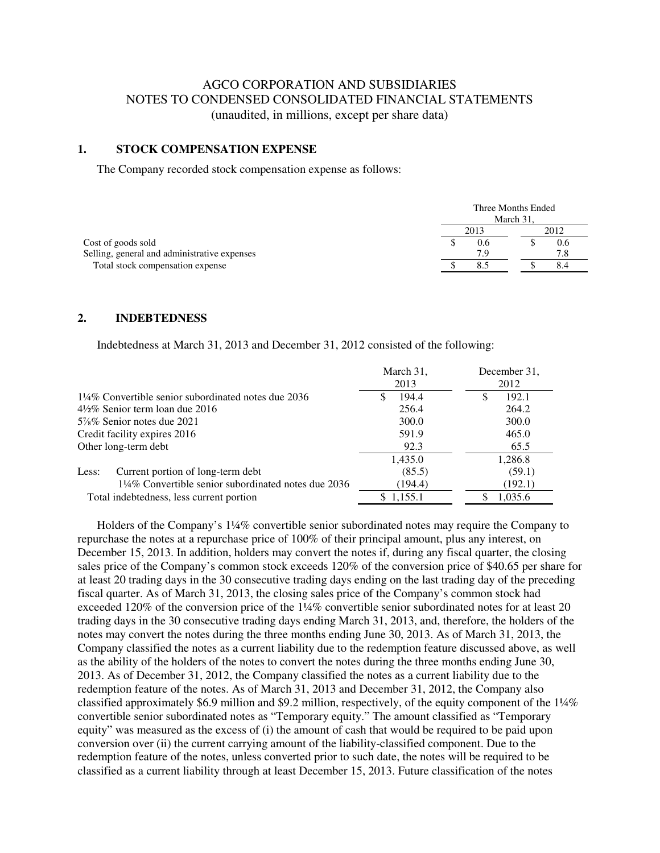## AGCO CORPORATION AND SUBSIDIARIES NOTES TO CONDENSED CONSOLIDATED FINANCIAL STATEMENTS (unaudited, in millions, except per share data)

#### **1. STOCK COMPENSATION EXPENSE**

The Company recorded stock compensation expense as follows:

|                                              | Three Months Ended<br>March 31. |     |      |     |
|----------------------------------------------|---------------------------------|-----|------|-----|
|                                              | 2013                            |     | 2012 |     |
| Cost of goods sold                           |                                 | V.O |      | 0.6 |
| Selling, general and administrative expenses |                                 | 7.9 |      |     |
| Total stock compensation expense             |                                 |     |      |     |

#### **2. INDEBTEDNESS**

Indebtedness at March 31, 2013 and December 31, 2012 consisted of the following:

|                                                    | March 31,         | December 31, |
|----------------------------------------------------|-------------------|--------------|
|                                                    | 2013              | 2012         |
| 1¼% Convertible senior subordinated notes due 2036 | 194.4<br><b>S</b> | 192.1<br>S   |
| $4\frac{1}{2}\%$ Senior term loan due 2016         | 256.4             | 264.2        |
| $5\%$ % Senior notes due 2021                      | 300.0             | 300.0        |
| Credit facility expires 2016                       | 591.9             | 465.0        |
| Other long-term debt                               | 92.3              | 65.5         |
|                                                    | 1,435.0           | 1,286.8      |
| Current portion of long-term debt<br>Less:         | (85.5)            | (59.1)       |
| 1¼% Convertible senior subordinated notes due 2036 | (194.4)           | (192.1)      |
| Total indebtedness, less current portion           | \$1,155.1         | 1,035.6      |

Holders of the Company's 1¼% convertible senior subordinated notes may require the Company to repurchase the notes at a repurchase price of 100% of their principal amount, plus any interest, on December 15, 2013. In addition, holders may convert the notes if, during any fiscal quarter, the closing sales price of the Company's common stock exceeds 120% of the conversion price of \$40.65 per share for at least 20 trading days in the 30 consecutive trading days ending on the last trading day of the preceding fiscal quarter. As of March 31, 2013, the closing sales price of the Company's common stock had exceeded 120% of the conversion price of the 1¼% convertible senior subordinated notes for at least 20 trading days in the 30 consecutive trading days ending March 31, 2013, and, therefore, the holders of the notes may convert the notes during the three months ending June 30, 2013. As of March 31, 2013, the Company classified the notes as a current liability due to the redemption feature discussed above, as well as the ability of the holders of the notes to convert the notes during the three months ending June 30, 2013. As of December 31, 2012, the Company classified the notes as a current liability due to the redemption feature of the notes. As of March 31, 2013 and December 31, 2012, the Company also classified approximately \$6.9 million and \$9.2 million, respectively, of the equity component of the 1¼% convertible senior subordinated notes as "Temporary equity." The amount classified as "Temporary equity" was measured as the excess of (i) the amount of cash that would be required to be paid upon conversion over (ii) the current carrying amount of the liability-classified component. Due to the redemption feature of the notes, unless converted prior to such date, the notes will be required to be classified as a current liability through at least December 15, 2013. Future classification of the notes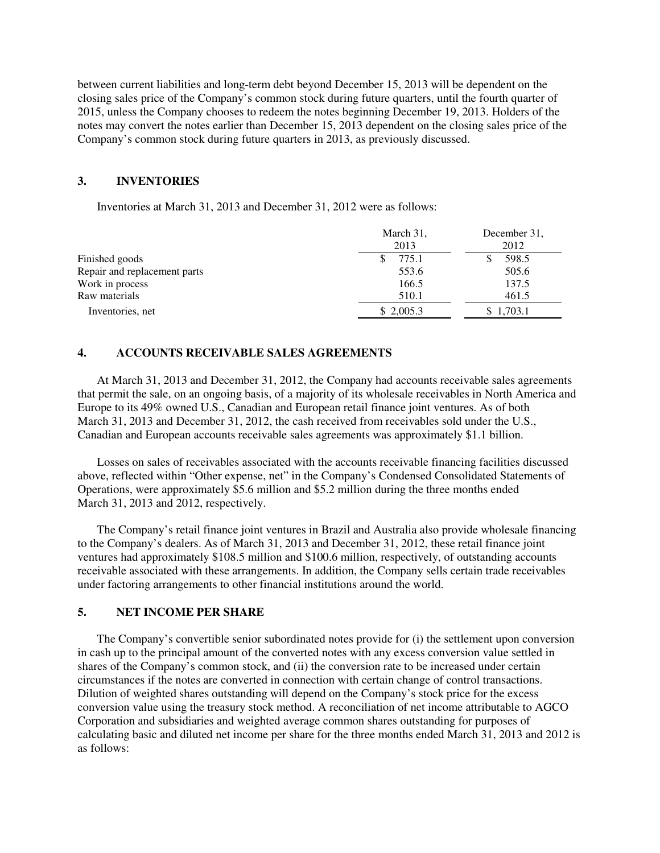between current liabilities and long-term debt beyond December 15, 2013 will be dependent on the closing sales price of the Company's common stock during future quarters, until the fourth quarter of 2015, unless the Company chooses to redeem the notes beginning December 19, 2013. Holders of the notes may convert the notes earlier than December 15, 2013 dependent on the closing sales price of the Company's common stock during future quarters in 2013, as previously discussed.

#### **3. INVENTORIES**

Inventories at March 31, 2013 and December 31, 2012 were as follows:

|                              | March 31,<br>2013 | December 31.<br>2012 |
|------------------------------|-------------------|----------------------|
| Finished goods               | 775.1             | 598.5                |
| Repair and replacement parts | 553.6             | 505.6                |
| Work in process              | 166.5             | 137.5                |
| Raw materials                | 510.1             | 461.5                |
| Inventories, net             | \$2,005.3         | 1.703.1              |

#### **4. ACCOUNTS RECEIVABLE SALES AGREEMENTS**

At March 31, 2013 and December 31, 2012, the Company had accounts receivable sales agreements that permit the sale, on an ongoing basis, of a majority of its wholesale receivables in North America and Europe to its 49% owned U.S., Canadian and European retail finance joint ventures. As of both March 31, 2013 and December 31, 2012, the cash received from receivables sold under the U.S., Canadian and European accounts receivable sales agreements was approximately \$1.1 billion.

 Losses on sales of receivables associated with the accounts receivable financing facilities discussed above, reflected within "Other expense, net" in the Company's Condensed Consolidated Statements of Operations, were approximately \$5.6 million and \$5.2 million during the three months ended March 31, 2013 and 2012, respectively.

The Company's retail finance joint ventures in Brazil and Australia also provide wholesale financing to the Company's dealers. As of March 31, 2013 and December 31, 2012, these retail finance joint ventures had approximately \$108.5 million and \$100.6 million, respectively, of outstanding accounts receivable associated with these arrangements. In addition, the Company sells certain trade receivables under factoring arrangements to other financial institutions around the world.

#### **5. NET INCOME PER SHARE**

The Company's convertible senior subordinated notes provide for (i) the settlement upon conversion in cash up to the principal amount of the converted notes with any excess conversion value settled in shares of the Company's common stock, and (ii) the conversion rate to be increased under certain circumstances if the notes are converted in connection with certain change of control transactions. Dilution of weighted shares outstanding will depend on the Company's stock price for the excess conversion value using the treasury stock method. A reconciliation of net income attributable to AGCO Corporation and subsidiaries and weighted average common shares outstanding for purposes of calculating basic and diluted net income per share for the three months ended March 31, 2013 and 2012 is as follows: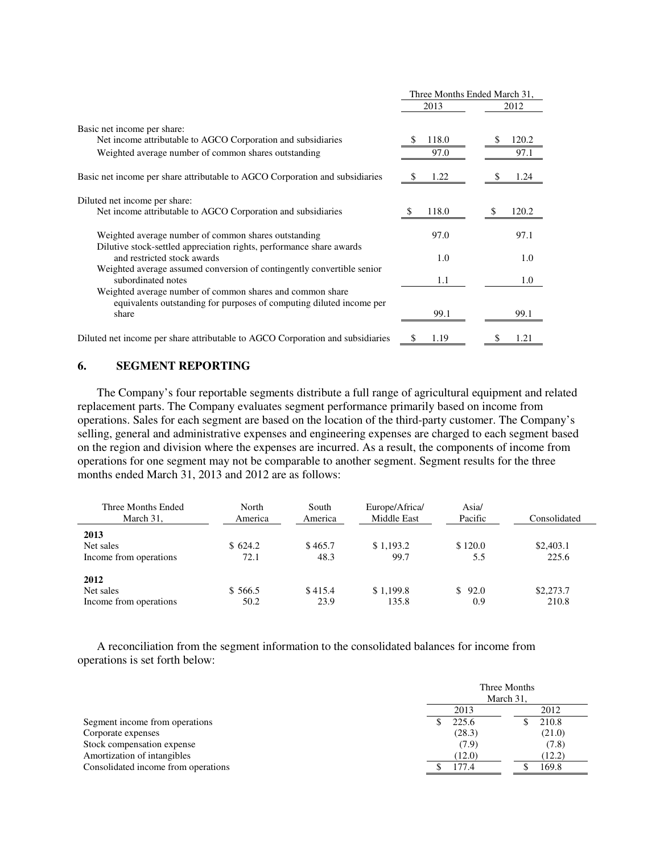|                                                                                                                                            | Three Months Ended March 31, |               |
|--------------------------------------------------------------------------------------------------------------------------------------------|------------------------------|---------------|
|                                                                                                                                            | 2013                         | 2012          |
| Basic net income per share:<br>Net income attributable to AGCO Corporation and subsidiaries                                                | 118.0<br>97.0                | 120.2<br>97.1 |
| Weighted average number of common shares outstanding                                                                                       |                              |               |
| Basic net income per share attributable to AGCO Corporation and subsidiaries                                                               | 1.22<br>S                    | 1.24          |
| Diluted net income per share:<br>Net income attributable to AGCO Corporation and subsidiaries                                              | 118.0                        | 120.2<br>S    |
| Weighted average number of common shares outstanding<br>Dilutive stock-settled appreciation rights, performance share awards               | 97.0                         | 97.1          |
| and restricted stock awards                                                                                                                | 1.0                          | 1.0           |
| Weighted average assumed conversion of contingently convertible senior<br>subordinated notes                                               | 1.1                          | 1.0           |
| Weighted average number of common shares and common share<br>equivalents outstanding for purposes of computing diluted income per<br>share | 99.1                         | 99.1          |
| Diluted net income per share attributable to AGCO Corporation and subsidiaries                                                             | \$<br>1.19                   | 1.21<br>S     |

#### **6. SEGMENT REPORTING**

The Company's four reportable segments distribute a full range of agricultural equipment and related replacement parts. The Company evaluates segment performance primarily based on income from operations. Sales for each segment are based on the location of the third-party customer. The Company's selling, general and administrative expenses and engineering expenses are charged to each segment based on the region and division where the expenses are incurred. As a result, the components of income from operations for one segment may not be comparable to another segment. Segment results for the three months ended March 31, 2013 and 2012 are as follows:

| Three Months Ended<br>March 31,             | North<br>America | South<br>America | Europe/Africa/<br>Middle East | Asia/<br>Pacific  | Consolidated       |
|---------------------------------------------|------------------|------------------|-------------------------------|-------------------|--------------------|
| 2013<br>Net sales<br>Income from operations | \$624.2<br>72.1  | \$465.7<br>48.3  | \$1,193.2<br>99.7             | \$120.0<br>5.5    | \$2,403.1<br>225.6 |
| 2012<br>Net sales<br>Income from operations | \$566.5<br>50.2  | \$415.4<br>23.9  | \$1.199.8<br>135.8            | 92.0<br>S.<br>0.9 | \$2,273.7<br>210.8 |

A reconciliation from the segment information to the consolidated balances for income from operations is set forth below:

|                                     | Three Months<br>March 31, |        |  |
|-------------------------------------|---------------------------|--------|--|
|                                     | 2013                      | 2012   |  |
| Segment income from operations      | 225.6                     | 210.8  |  |
| Corporate expenses                  | (28.3)                    | (21.0) |  |
| Stock compensation expense          | (7.9)                     | (7.8)  |  |
| Amortization of intangibles         | (12.0)                    | (12.2) |  |
| Consolidated income from operations | 177.4                     | 169.8  |  |